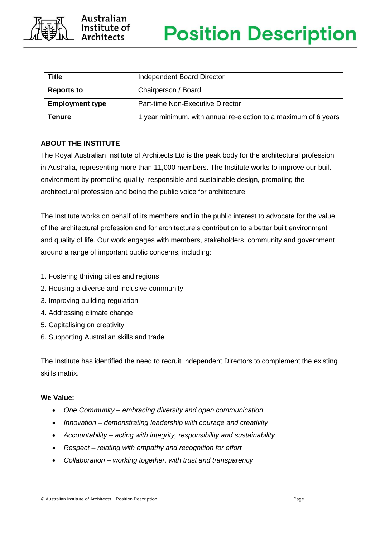

| <b>Title</b>           | Independent Board Director                                      |
|------------------------|-----------------------------------------------------------------|
| <b>Reports to</b>      | Chairperson / Board                                             |
| <b>Employment type</b> | Part-time Non-Executive Director                                |
| Tenure                 | 1 year minimum, with annual re-election to a maximum of 6 years |

# **ABOUT THE INSTITUTE**

The Royal Australian Institute of Architects Ltd is the peak body for the architectural profession in Australia, representing more than 11,000 members. The Institute works to improve our built environment by promoting quality, responsible and sustainable design, promoting the architectural profession and being the public voice for architecture.

The Institute works on behalf of its members and in the public interest to advocate for the value of the architectural profession and for architecture's contribution to a better built environment and quality of life. Our work engages with members, stakeholders, community and government around a range of important public concerns, including:

- 1. Fostering thriving cities and regions
- 2. Housing a diverse and inclusive community
- 3. Improving building regulation
- 4. Addressing climate change
- 5. Capitalising on creativity
- 6. Supporting Australian skills and trade

The Institute has identified the need to recruit Independent Directors to complement the existing skills matrix.

#### **We Value:**

- *One Community – embracing diversity and open communication*
- *Innovation – demonstrating leadership with courage and creativity*
- *Accountability – acting with integrity, responsibility and sustainability*
- *Respect – relating with empathy and recognition for effort*
- *Collaboration – working together, with trust and transparency*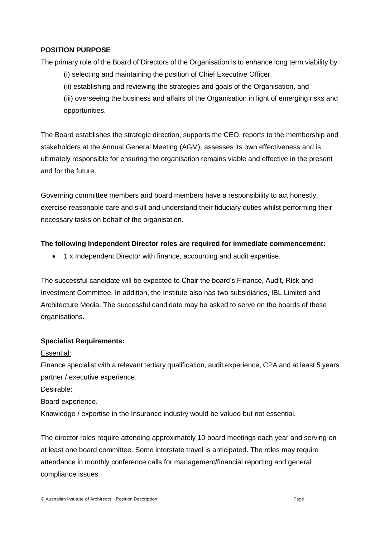### **POSITION PURPOSE**

The primary role of the Board of Directors of the Organisation is to enhance long term viability by:

- (i) selecting and maintaining the position of Chief Executive Officer,
- (ii) establishing and reviewing the strategies and goals of the Organisation, and

(iii) overseeing the business and affairs of the Organisation in light of emerging risks and opportunities.

The Board establishes the strategic direction, supports the CEO, reports to the membership and stakeholders at the Annual General Meeting (AGM), assesses its own effectiveness and is ultimately responsible for ensuring the organisation remains viable and effective in the present and for the future.

Governing committee members and board members have a responsibility to act honestly, exercise reasonable care and skill and understand their fiduciary duties whilst performing their necessary tasks on behalf of the organisation.

## **The following Independent Director roles are required for immediate commencement:**

• 1 x Independent Director with finance, accounting and audit expertise.

The successful candidate will be expected to Chair the board's Finance, Audit, Risk and Investment Committee. In addition, the Institute also has two subsidiaries, IBL Limited and Architecture Media. The successful candidate may be asked to serve on the boards of these organisations.

## **Specialist Requirements:**

#### Essential:

Finance specialist with a relevant tertiary qualification, audit experience, CPA and at least 5 years partner / executive experience.

Desirable:

#### Board experience.

Knowledge / expertise in the Insurance industry would be valued but not essential.

The director roles require attending approximately 10 board meetings each year and serving on at least one board committee. Some interstate travel is anticipated. The roles may require attendance in monthly conference calls for management/financial reporting and general compliance issues.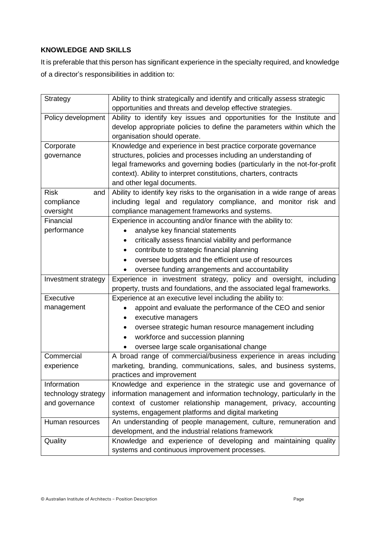# **KNOWLEDGE AND SKILLS**

It is preferable that this person has significant experience in the specialty required, and knowledge of a director's responsibilities in addition to:

| Strategy            | Ability to think strategically and identify and critically assess strategic |
|---------------------|-----------------------------------------------------------------------------|
|                     | opportunities and threats and develop effective strategies.                 |
| Policy development  | Ability to identify key issues and opportunities for the Institute and      |
|                     | develop appropriate policies to define the parameters within which the      |
|                     | organisation should operate.                                                |
| Corporate           | Knowledge and experience in best practice corporate governance              |
| governance          | structures, policies and processes including an understanding of            |
|                     | legal frameworks and governing bodies (particularly in the not-for-profit   |
|                     | context). Ability to interpret constitutions, charters, contracts           |
|                     | and other legal documents.                                                  |
| <b>Risk</b><br>and  | Ability to identify key risks to the organisation in a wide range of areas  |
| compliance          | including legal and regulatory compliance, and monitor risk and             |
| oversight           | compliance management frameworks and systems.                               |
| Financial           | Experience in accounting and/or finance with the ability to:                |
| performance         | analyse key financial statements                                            |
|                     | critically assess financial viability and performance                       |
|                     | contribute to strategic financial planning                                  |
|                     | oversee budgets and the efficient use of resources<br>$\bullet$             |
|                     | oversee funding arrangements and accountability<br>٠                        |
| Investment strategy | Experience in investment strategy, policy and oversight, including          |
|                     | property, trusts and foundations, and the associated legal frameworks.      |
| Executive           | Experience at an executive level including the ability to:                  |
| management          | appoint and evaluate the performance of the CEO and senior                  |
|                     | executive managers                                                          |
|                     | oversee strategic human resource management including                       |
|                     | workforce and succession planning<br>٠                                      |
|                     | oversee large scale organisational change                                   |
| Commercial          | A broad range of commercial/business experience in areas including          |
| experience          | marketing, branding, communications, sales, and business systems,           |
|                     | practices and improvement                                                   |
| Information         | Knowledge and experience in the strategic use and governance of             |
| technology strategy | information management and information technology, particularly in the      |
| and governance      | context of customer relationship management, privacy, accounting            |
|                     | systems, engagement platforms and digital marketing                         |
| Human resources     | An understanding of people management, culture, remuneration and            |
|                     | development, and the industrial relations framework                         |
| Quality             | Knowledge and experience of developing and maintaining quality              |
|                     | systems and continuous improvement processes.                               |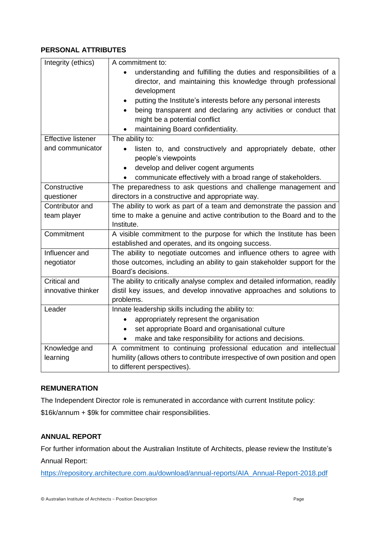## **PERSONAL ATTRIBUTES**

| Integrity (ethics)        | A commitment to:                                                                                                                                  |
|---------------------------|---------------------------------------------------------------------------------------------------------------------------------------------------|
|                           | understanding and fulfilling the duties and responsibilities of a<br>director, and maintaining this knowledge through professional<br>development |
|                           | putting the Institute's interests before any personal interests                                                                                   |
|                           | being transparent and declaring any activities or conduct that<br>$\bullet$<br>might be a potential conflict                                      |
|                           | maintaining Board confidentiality.                                                                                                                |
| <b>Effective listener</b> | The ability to:                                                                                                                                   |
| and communicator          | listen to, and constructively and appropriately debate, other<br>$\bullet$<br>people's viewpoints                                                 |
|                           | develop and deliver cogent arguments<br>$\bullet$                                                                                                 |
|                           | communicate effectively with a broad range of stakeholders.<br>$\bullet$                                                                          |
| Constructive              | The preparedness to ask questions and challenge management and                                                                                    |
| questioner                | directors in a constructive and appropriate way.                                                                                                  |
| Contributor and           | The ability to work as part of a team and demonstrate the passion and                                                                             |
| team player               | time to make a genuine and active contribution to the Board and to the<br>Institute.                                                              |
| Commitment                | A visible commitment to the purpose for which the Institute has been                                                                              |
|                           | established and operates, and its ongoing success.                                                                                                |
| Influencer and            | The ability to negotiate outcomes and influence others to agree with                                                                              |
| negotiator                | those outcomes, including an ability to gain stakeholder support for the<br>Board's decisions.                                                    |
| Critical and              | The ability to critically analyse complex and detailed information, readily                                                                       |
| innovative thinker        | distil key issues, and develop innovative approaches and solutions to                                                                             |
|                           | problems.                                                                                                                                         |
| Leader                    | Innate leadership skills including the ability to:                                                                                                |
|                           | appropriately represent the organisation                                                                                                          |
|                           | set appropriate Board and organisational culture<br>٠                                                                                             |
|                           | make and take responsibility for actions and decisions.                                                                                           |
| Knowledge and             | A commitment to continuing professional education and intellectual                                                                                |
| learning                  | humility (allows others to contribute irrespective of own position and open                                                                       |
|                           | to different perspectives).                                                                                                                       |

## **REMUNERATION**

The Independent Director role is remunerated in accordance with current Institute policy:

\$16k/annum + \$9k for committee chair responsibilities.

# **ANNUAL REPORT**

For further information about the Australian Institute of Architects, please review the Institute's Annual Report:

[https://repository.architecture.com.au/download/annual-reports/AIA\\_Annual-Report-2018.pdf](https://repository.architecture.com.au/download/annual-reports/AIA_Annual-Report-2018.pdf)